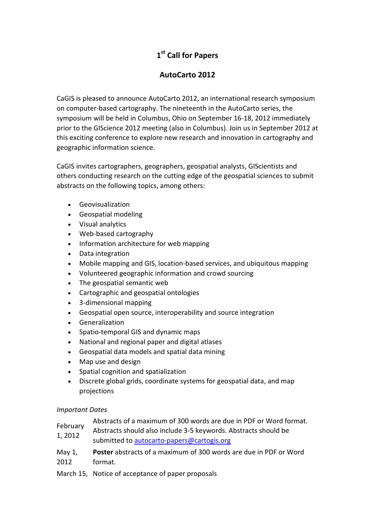## **1st Call for Papers**

## **AutoCarto 2012**

CaGIS is pleased to announce AutoCarto 2012, an international research symposium on computer-based cartography. The nineteenth in the AutoCarto series, the symposium will be held in Columbus, Ohio on September 16-18, 2012 immediately prior to the GIScience 2012 meeting (also in Columbus). Join us in September 2012 at this exciting conference to explore new research and innovation in cartography and geographic information science.

CaGIS invites cartographers, geographers, geospatial analysts, GIScientists and others conducting research on the cutting edge of the geospatial sciences to submit abstracts on the following topics, among others:

- Geovisualization
- Geospatial modeling
- Visual analytics
- Web-based cartography
- Information architecture for web mapping
- Data integration
- Mobile mapping and GIS, location-based services, and ubiquitous mapping
- Volunteered geographic information and crowd sourcing
- The geospatial semantic web
- Cartographic and geospatial ontologies
- 3-dimensional mapping
- Geospatial open source, interoperability and source integration
- Generalization
- Spatio-temporal GIS and dynamic maps
- National and regional paper and digital atlases
- Geospatial data models and spatial data mining
- Map use and design
- Spatial cognition and spatialization
- Discrete global grids, coordinate systems for geospatial data, and map projections

## *Important Dates*

- February Abstracts of a maximum of 300 words are due in PDF or Word format.
- 1, 2012 Abstracts should also include 3-5 keywords. Abstracts should be submitted to [autocarto-papers@cartogis.org](mailto:autocarto-papers@cartogis.org)
- May 1, 2012 **Poster** abstracts of a maximum of 300 words are due in PDF or Word format.
- March 15, Notice of acceptance of paper proposals